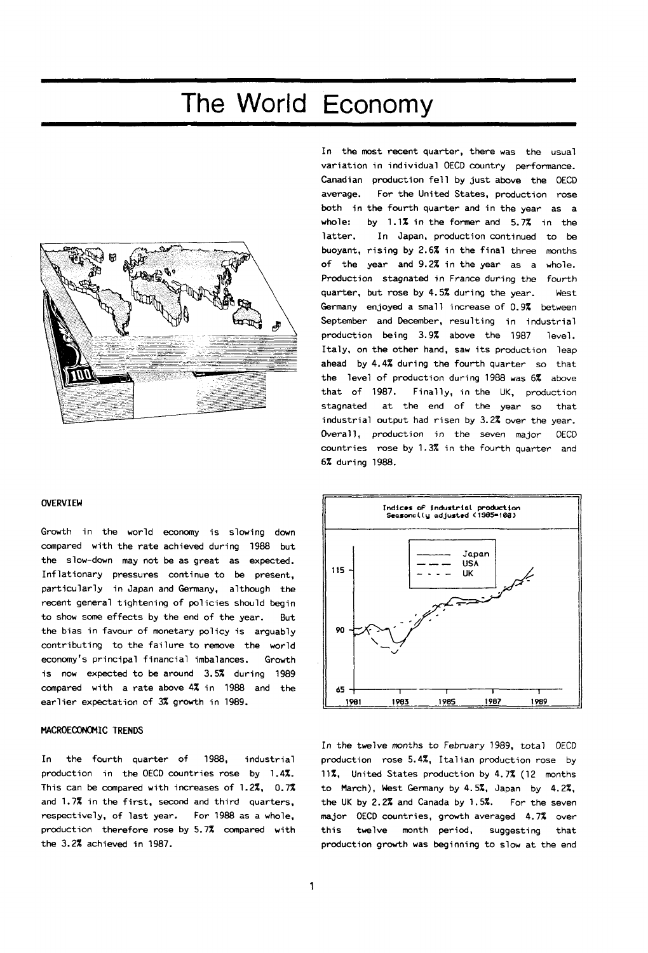# The World Economy



# **OVERVIEW**

Growth in the world economy is slowing down compared with the rate achieved during 1988 but the slow-down may not be as great as expected. Inflationary pressures continue to be present, particularly in Japan and Germany, although the recent general tightening of policies should begin to show some effects by the end of the year. But the bias in favour of monetary policy is arguably contributing to the failure to remove the world economy's principal financial imbalances. Growth is now expected to be around 3.5% during 1989 compared with a rate above 4% in 1988 and the earlier expectation of 3% growth in 1989.

# **MACR0EC0N0MIC TRENDS**

In the fourth quarter of 1988, industrial production in the OECD countries rose by 1.4%. This can be compared with increases of 1.2%, 0.7% and 1.7% in the first, second and third quarters, respectively, of last year. For 1988 as a whole, production therefore rose by 5.7% compared with the 3.2% achieved in 1987.

In the most recent quarter, there was the usual variation in individual OECD country performance. Canadian production fell by just above the OECD average. For the United States, production rose both in the fourth quarter and in the year as a whole: by 1.1% in the former and 5.7% in the latter. In Japan, production continued to be buoyant, rising by 2.6% in the final three months of the year and 9.2% in the year as a whole. Production stagnated in France during the fourth quarter, but rose by 4.5% during the year. West Germany enjoyed a small increase of 0.9% between September and December, resulting in industrial production being 3.9% above the 1987 level. Italy, on the other hand, saw its production leap ahead by 4.4% during the fourth quarter so that the level of production during 1988 was 6% above that of 1987. Finally, in the UK, production stagnated at the end of the year so that industrial output had risen by 3.2% over the year. Overall, production in the seven major OECD countries rose by 1.3% in the fourth quarter and 6% during 1988.



In the twelve months to February 1989, total OECD production rose 5.4%, Italian production rose by 11%, United States production by 4.7% (12 months to March), West Germany by 4.5%, Japan by 4.2%, the UK by 2.2% and Canada by 1.5%. For the seven major OECD countries, growth averaged 4.7% over this twelve month period, suggesting that production growth was beginning to slow at the end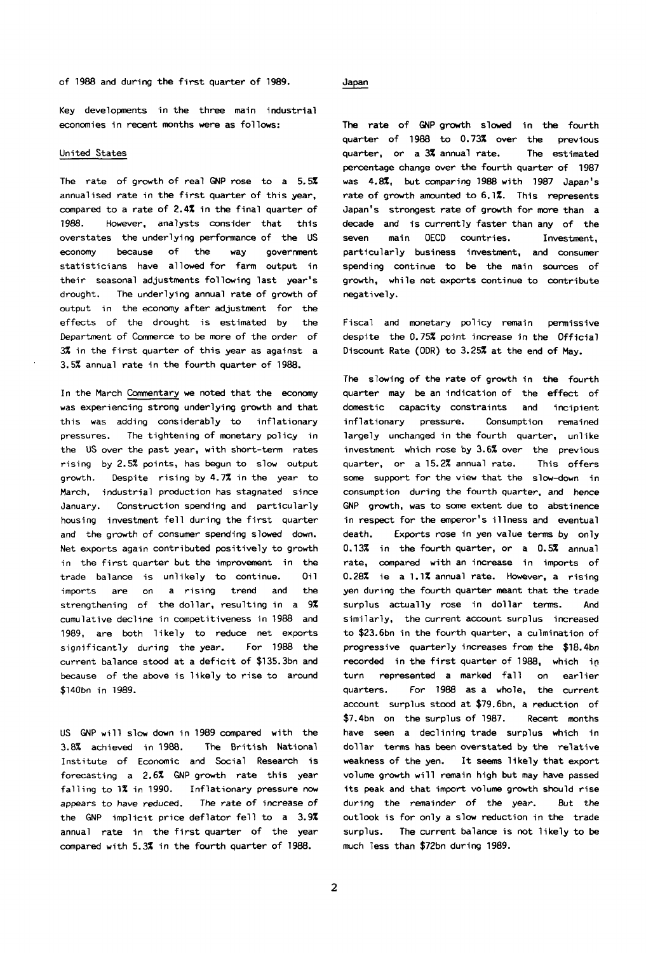of 1988 and during the first quarter of 1989. Japan

Key developments in the three main industrial economies in recent months were as follows:

# United States

The rate of growth of real GNP rose to a 5.5% annualised rate in the first quarter of this year, compared to a rate of 2.4% in the final quarter of 1988. However, analysts consider that this overstates the underlying performance of the US economy because of the way government statisticians have allowed for farm output in their seasonal adjustments following last year's drought. The underlying annual rate of growth of output in the economy after adjustment for the effects of the drought is estimated by the Department of Commerce to be more of the order of 3% in the first quarter of this year as against a 3.5% annual rate in the fourth quarter of 1988.

In the March Commentary we noted that the economy was experiencing strong underlying growth and that this was adding considerably to inflationary pressures. The tightening of monetary policy in the US over the past year, with short-term rates rising by 2.5% points, has begun to slow output growth. Despite rising by 4.7% in the year to March, industrial production has stagnated since January. Construction spending and particularly housing investment fell during the first quarter and the growth of consumer spending slowed down. Net exports again contributed positively to growth in the first quarter but the improvement in the trade balance is unlikely to continue. Oil imports are on a rising trend and the strengthening of the dollar, resulting in a 9% cumulative decline in competitiveness in 1988 and 1989, are both likely to reduce net exports significantly during the year. For 1988 the current balance stood at a deficit of \$135.3bn and because of the above is likely to rise to around \$140bn in 1989.

US GNP will slow down in 1989 compared with the 3.8% achieved in 1988. The British National Institute of Economic and Social Research is forecasting a 2.6% GNP growth rate this year falling to 1% in 1990. Inflationary pressure now appears to have reduced. The rate of increase of the GNP implicit price deflator fell to a 3.9% annual rate in the first quarter of the year compared with 5.3% in the fourth quarter of 1988.

The rate of GNP growth slowed in the fourth quarter of 1988 to 0.73% over the previous quarter, or a 3% annual rate. The estimated percentage change over the fourth quarter of 1987 was 4.8%, but comparing 1988 with 1987 Japan's rate of growth amounted to 6.1%. This represents Japan's strongest rate of growth for more than a decade and is currently faster than any of the seven main OECD countries. Investment, particularly business investment, and consumer spending continue to be the main sources of growth, while net exports continue to contribute negatively.

Fiscal and monetary policy remain permissive despite the 0.75% point increase in the Official Discount Rate (ODR) to 3.25% at the end of May.

The slowing of the rate of growth in the fourth quarter may be an indication of the effect of domestic capacity constraints and incipient inflationary pressure. Consumption remained largely unchanged in the fourth quarter, unlike investment which rose by 3.6% over the previous quarter, or a 15.2% annual rate. This offers some support for the view that the slow-down in consumption during the fourth quarter, and hence GNP growth, was to some extent due to abstinence in respect for the emperor's illness and eventual death. Exports rose in yen value terms by only 0.13% in the fourth quarter, or a 0.5% annual rate, compared with an increase in imports of 0.28% ie a 1.1% annual rate. However, a rising yen during the fourth quarter meant that the trade surplus actually rose in dollar terms. And similarly, the current account surplus increased to \$23.6bn in the fourth quarter, a culmination of progressive quarterly increases from the \$18.4bn recorded in the first quarter of 1988, which in turn represented a marked fall on earlier quarters. For 1988 as a whole, the current account surplus stood at \$79.6bn, a reduction of \$7.4bn on the surplus of 1987. Recent months have seen a declining trade surplus which in dollar terms has been overstated by the relative weakness of the yen. It seems likely that export volume growth will remain high but may have passed its peak and that import volume growth should rise during the remainder of the year. But the outlook is for only a slow reduction in the trade surplus. The current balance is not likely to be much less than \$72bn during 1989.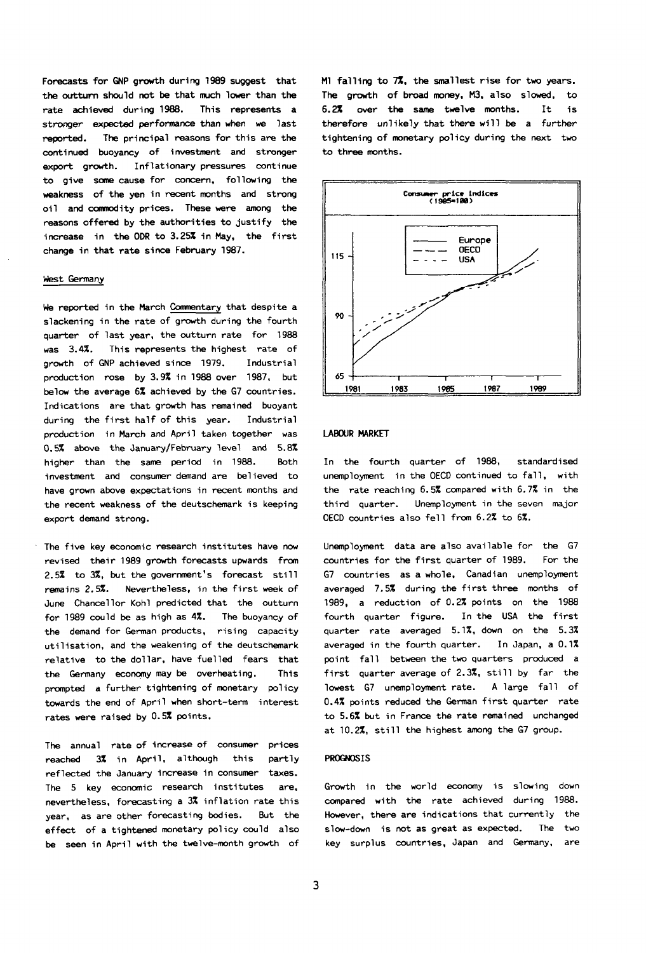**Forecasts for GNP growth during 1989 suggest that the outturn should not be that much lower than the rate achieved during 1988. This represents a stronger expected performance than when we last reported. The principal reasons for this are the continued buoyancy of investment and stronger export growth. Inflationary pressures continue to give some cause for concern, following the weakness of the yen in recent months and strong oil and commodity prices. These were among the reasons offered by the authorities to justify the increase in the ODR to 3.25% in May, the first change in that rate since February 1987.** 

## **West Germany**

**We reported in the March Commentary that despite a slackening in the rate of growth during the fourth quarter of last year, the outturn rate for 1988 was 3.4%. This represents the highest rate of growth of GNP achieved since 1979. Industrial production rose by 3.9% in 1988 over 1987, but below the average 6% achieved by the G7 countries. Indications are that growth has remained buoyant during the first half of this year. Industrial production in March and April taken together was 0.5% above the January/February level and 5.8% higher than the same period in 1988. Both investment and consumer demand are believed to have grown above expectations in recent months and the recent weakness of the deutschemark is keeping export demand strong.** 

**The five key economic research institutes have now revised their 1989 growth forecasts upwards from 2.5% to 3%, but the government's forecast still remains 2.5%. Nevertheless, in the first week of June Chancellor Kohl predicted that the outturn for 1989 could be as high as 4%. The buoyancy of the demand for German products, rising capacity utilisation, and the weakening of the deutschemark relative to the dollar, have fuelled fears that the Germany economy may be overheating. This prompted a further tightening of monetary policy towards the end of April when short-term interest rates were raised by 0.5% points.** 

**The annual rate of increase of consumer prices reached 3% in April, although this partly reflected the January increase in consumer taxes. The 5 key economic research institutes are, nevertheless, forecasting a 3% inflation rate this year, as are other forecasting bodies. But the effect of a tightened monetary policy could also be seen in April with the twelve-month growth of**  **Ml falling to 7%, the smallest rise for two years. The growth of broad money, M3, also slowed, to 6.2% over the same twelve months. It is therefore unlikely that there will be a further tightening of monetary policy during the next two to three months.** 



## LABOUR MARKET

In the fourth quarter of 1988, standardised unemployment in the OECD continued to fall, with the rate reaching 6.5% compared with 6.7% in the third quarter. Unemployment in the seven major OECD countries also fell from 6.2% to 6%.

Unemployment data are also available for the G7 countries for the first quarter of 1989. For the G7 countries as a whole, Canadian unemployment averaged 7.5% during the first three months of 1989, a reduction of 0.2% points on the 1988 fourth quarter figure. In the USA the first quarter rate averaged 5.1%, down on the 5.3% averaged in the fourth quarter. In Japan, a 0.1% point fall between the two quarters produced a first quarter average of 2.3%, still by far the lowest G7 unemployment rate. A large fall of 0.4% points reduced the German first quarter rate to 5.6% but in France the rate remained unchanged at 10.2%, still the highest among the G7 group.

### PROGNOSIS

Growth in the world economy is slowing down compared with the rate achieved during 1988. However, there are indications that currently the slow-down is not as great as expected. The two key surplus countries, Japan and Germany, are